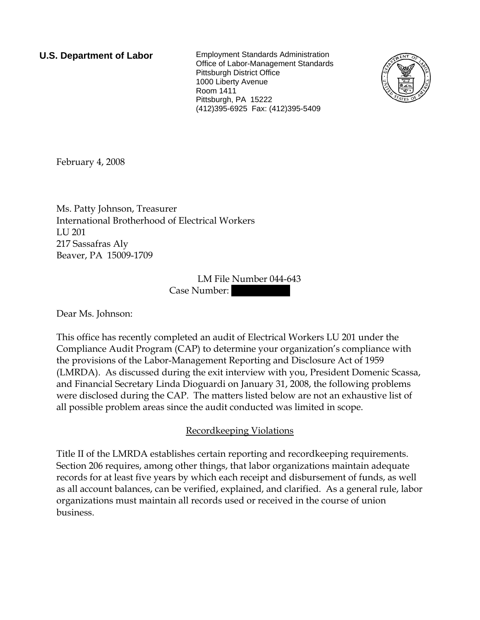**U.S. Department of Labor** Employment Standards Administration Office of Labor-Management Standards Pittsburgh District Office 1000 Liberty Avenue Room 1411 Pittsburgh, PA 15222 (412)395-6925 Fax: (412)395-5409



February 4, 2008

Ms. Patty Johnson, Treasurer International Brotherhood of Electrical Workers LU 201 217 Sassafras Aly Beaver, PA 15009-1709

> LM File Number 044-643 Case Number:

Dear Ms. Johnson:

This office has recently completed an audit of Electrical Workers LU 201 under the Compliance Audit Program (CAP) to determine your organization's compliance with the provisions of the Labor-Management Reporting and Disclosure Act of 1959 (LMRDA). As discussed during the exit interview with you, President Domenic Scassa, and Financial Secretary Linda Dioguardi on January 31, 2008, the following problems were disclosed during the CAP. The matters listed below are not an exhaustive list of all possible problem areas since the audit conducted was limited in scope.

## Recordkeeping Violations

Title II of the LMRDA establishes certain reporting and recordkeeping requirements. Section 206 requires, among other things, that labor organizations maintain adequate records for at least five years by which each receipt and disbursement of funds, as well as all account balances, can be verified, explained, and clarified. As a general rule, labor organizations must maintain all records used or received in the course of union business.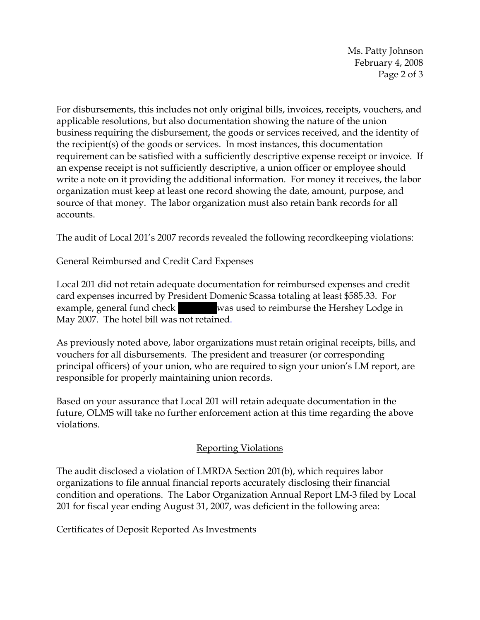Ms. Patty Johnson February 4, 2008 Page 2 of 3

For disbursements, this includes not only original bills, invoices, receipts, vouchers, and applicable resolutions, but also documentation showing the nature of the union business requiring the disbursement, the goods or services received, and the identity of the recipient(s) of the goods or services. In most instances, this documentation requirement can be satisfied with a sufficiently descriptive expense receipt or invoice. If an expense receipt is not sufficiently descriptive, a union officer or employee should write a note on it providing the additional information. For money it receives, the labor organization must keep at least one record showing the date, amount, purpose, and source of that money. The labor organization must also retain bank records for all accounts.

The audit of Local 201's 2007 records revealed the following recordkeeping violations:

General Reimbursed and Credit Card Expenses

Local 201 did not retain adequate documentation for reimbursed expenses and credit card expenses incurred by President Domenic Scassa totaling at least \$585.33. For example, general fund check was used to reimburse the Hershey Lodge in May 2007. The hotel bill was not retained.

As previously noted above, labor organizations must retain original receipts, bills, and vouchers for all disbursements. The president and treasurer (or corresponding principal officers) of your union, who are required to sign your union's LM report, are responsible for properly maintaining union records.

Based on your assurance that Local 201 will retain adequate documentation in the future, OLMS will take no further enforcement action at this time regarding the above violations.

## Reporting Violations

The audit disclosed a violation of LMRDA Section 201(b), which requires labor organizations to file annual financial reports accurately disclosing their financial condition and operations. The Labor Organization Annual Report LM-3 filed by Local 201 for fiscal year ending August 31, 2007, was deficient in the following area:

Certificates of Deposit Reported As Investments